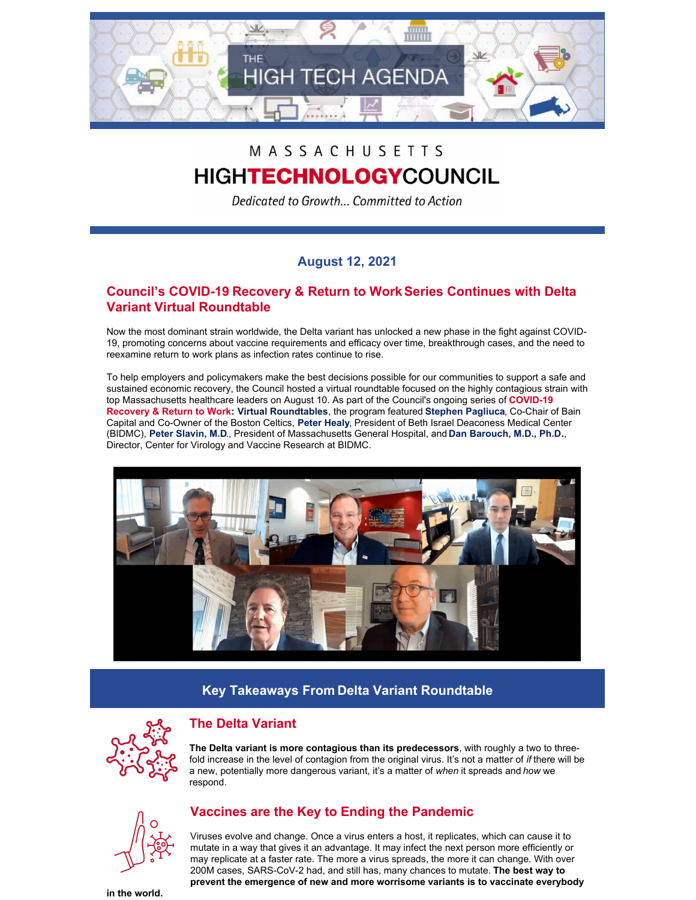

# MASSACHUSETTS

# **HIGHTECHNOLOGY**COUNCIL

Dedicated to Growth... Committed to Action

### **August 12, 2021**

### **Council's COVID-19 Recovery & Return to WorkSeries Continues with Delta Variant Virtual Roundtable**

Now the most dominant strain worldwide, the Delta variant has unlocked a new phase in the fight against COVID-19, promoting concerns about vaccine requirements and efficacy over time, breakthrough cases, and the need to reexamine return to work plans as infection rates continue to rise.

To help employers and policymakers make the best decisions possible for our communities to support a safe and sustained economic recovery, the Council hosted a virtual roundtable focused on the highly contagious strain with top Massachusetts healthcare leaders on August 10. As part of the Council's ongoing series of **COVID-19 Recovery & Return to Work: Virtual Roundtables**, the program featured **Stephen Pagliuca**, Co-Chair of Bain Capital and Co-Owner of the Boston Celtics, **Peter Healy**, President of Beth Israel Deaconess Medical Center (BIDMC), **Peter Slavin, M.D**., President of Massachusetts General Hospital, and **Dan Barouch, M.D., Ph.D.**, Director, Center for Virology and Vaccine Research at BIDMC.



## **Key Takeaways From Delta Variant Roundtable**



### **The Delta Variant**

**The Delta variant is more contagious than its predecessors**, with roughly a two to threefold increase in the level of contagion from the original virus. It's not a matter of *if* there will be a new, potentially more dangerous variant, it's a matter of *when* it spreads and *how* we respond.



### **Vaccines are the Key to Ending the Pandemic**

Viruses evolve and change. Once a virus enters a host, it replicates, which can cause it to mutate in a way that gives it an advantage. It may infect the next person more efficiently or may replicate at a faster rate. The more a virus spreads, the more it can change. With over 200M cases, SARS-CoV-2 had, and still has, many chances to mutate. **The best way to prevent the emergence of new and more worrisome variants is to vaccinate everybody**

**in the world.**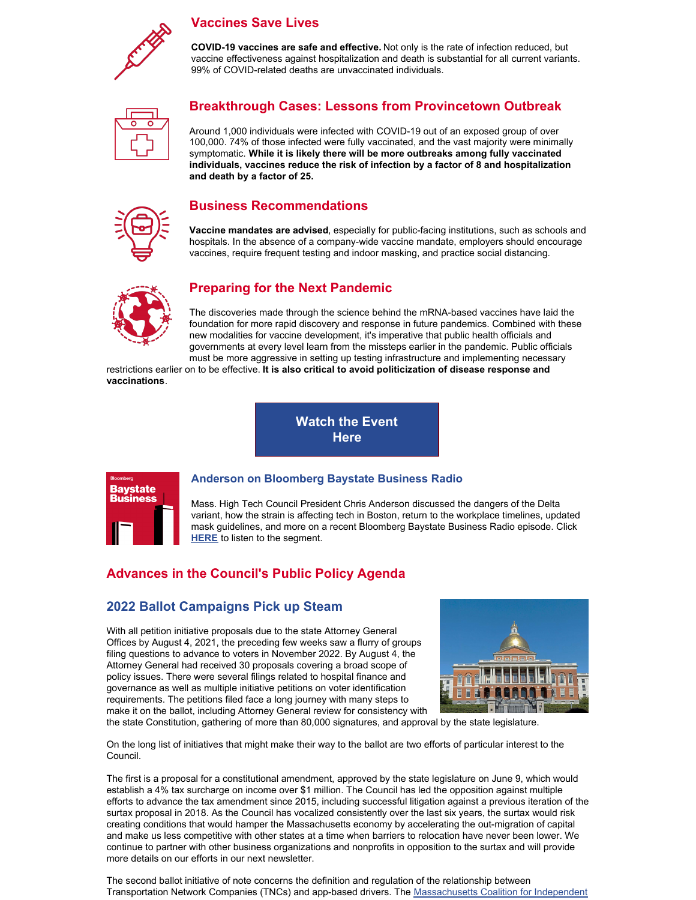

#### **Vaccines Save Lives**

**COVID-19 vaccines are safe and effective.** Not only is the rate of infection reduced, but vaccine effectiveness against hospitalization and death is substantial for all current variants. 99% of COVID-related deaths are unvaccinated individuals.



### **Breakthrough Cases: Lessons from Provincetown Outbreak**

Around 1,000 individuals were infected with COVID-19 out of an exposed group of over 100,000. 74% of those infected were fully vaccinated, and the vast majority were minimally symptomatic. **While it is likely there will be more outbreaks among fully vaccinated individuals, vaccines reduce the risk of infection by a factor of 8 and hospitalization and death by a factor of 25.**

#### **Business Recommendations**

**Vaccine mandates are advised**, especially for public-facing institutions, such as schools and hospitals. In the absence of a company-wide vaccine mandate, employers should encourage vaccines, require frequent testing and indoor masking, and practice social distancing.



### **Preparing for the Next Pandemic**

The discoveries made through the science behind the mRNA-based vaccines have laid the foundation for more rapid discovery and response in future pandemics. Combined with these new modalities for vaccine development, it's imperative that public health officials and governments at every level learn from the missteps earlier in the pandemic. Public officials must be more aggressive in setting up testing infrastructure and implementing necessary

restrictions earlier on to be effective. **It is also critical to avoid politicization of disease response and vaccinations**.

> **[Watch](https://vimeo.com/585879764) the Event Here**



#### **Anderson on Bloomberg Baystate Business Radio**

Mass. High Tech Council President Chris Anderson discussed the dangers of the Delta variant, how the strain is affecting tech in Boston, return to the workplace timelines, updated mask guidelines, and more on a recent Bloomberg Baystate Business Radio episode. Click **[HERE](http://www.mhtc.org/2021/07/30/baystate-business-breakthrough-cases-radio/)** to listen to the segment.

### **Advances in the Council's Public Policy Agenda**

#### **2022 Ballot Campaigns Pick up Steam**

With all petition initiative proposals due to the state Attorney General Offices by August 4, 2021, the preceding few weeks saw a flurry of groups filing questions to advance to voters in November 2022. By August 4, the Attorney General had received 30 proposals covering a broad scope of policy issues. There were several filings related to hospital finance and governance as well as multiple initiative petitions on voter identification requirements. The petitions filed face a long journey with many steps to make it on the ballot, including Attorney General review for consistency with



the state Constitution, gathering of more than 80,000 signatures, and approval by the state legislature.

On the long list of initiatives that might make their way to the ballot are two efforts of particular interest to the Council.

The first is a proposal for a constitutional amendment, approved by the state legislature on June 9, which would establish a 4% tax surcharge on income over \$1 million. The Council has led the opposition against multiple efforts to advance the tax amendment since 2015, including successful litigation against a previous iteration of the surtax proposal in 2018. As the Council has vocalized consistently over the last six years, the surtax would risk creating conditions that would hamper the Massachusetts economy by accelerating the out-migration of capital and make us less competitive with other states at a time when barriers to relocation have never been lower. We continue to partner with other business organizations and nonprofits in opposition to the surtax and will provide more details on our efforts in our next newsletter.

The second ballot initiative of note concerns the definition and regulation of the relationship between Transportation Network Companies (TNCs) and app-based drivers. The [Massachusetts](https://independentmass.org/members/) Coalition for Independent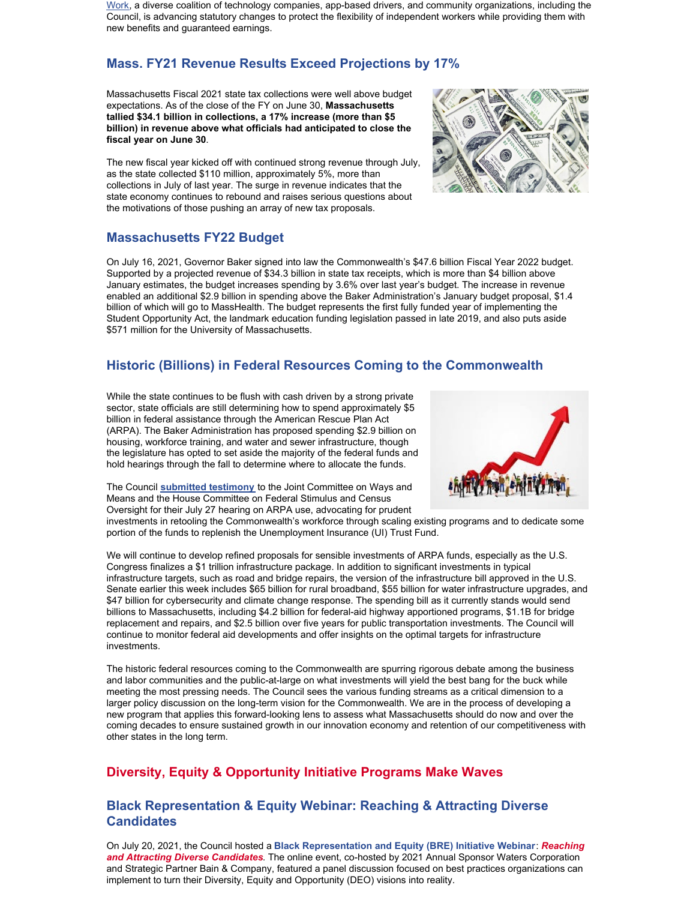Work, a diverse coalition of technology companies, app-based drivers, and community organizations, including the Council, is advancing statutory changes to protect the flexibility of independent workers while providing them with new benefits and guaranteed earnings.

## **Mass. FY21 Revenue Results Exceed Projections by 17%**

Massachusetts Fiscal 2021 state tax collections were well above budget expectations. As of the close of the FY on June 30, **Massachusetts tallied \$34.1 billion in collections, a 17% increase (more than \$5 billion) in revenue above what officials had anticipated to close the fiscal year on June 30**.

The new fiscal year kicked off with continued strong revenue through July, as the state collected \$110 million, approximately 5%, more than collections in July of last year. The surge in revenue indicates that the state economy continues to rebound and raises serious questions about the motivations of those pushing an array of new tax proposals.

### **Massachusetts FY22 Budget**

On July 16, 2021, Governor Baker signed into law the Commonwealth's \$47.6 billion Fiscal Year 2022 budget. Supported by a projected revenue of \$34.3 billion in state tax receipts, which is more than \$4 billion above January estimates, the budget increases spending by 3.6% over last year's budget. The increase in revenue enabled an additional \$2.9 billion in spending above the Baker Administration's January budget proposal, \$1.4 billion of which will go to MassHealth. The budget represents the first fully funded year of implementing the Student Opportunity Act, the landmark education funding legislation passed in late 2019, and also puts aside \$571 million for the University of Massachusetts.

### **Historic (Billions) in Federal Resources Coming to the Commonwealth**

While the state continues to be flush with cash driven by a strong private sector, state officials are still determining how to spend approximately \$5 billion in federal assistance through the American Rescue Plan Act (ARPA). The Baker Administration has proposed spending \$2.9 billion on housing, workforce training, and water and sewer infrastructure, though the legislature has opted to set aside the majority of the federal funds and hold hearings through the fall to determine where to allocate the funds.

The Council **[submitted](http://www.mhtc.org/wp-content/uploads/2021/08/MHTC-written-testimony-for-House-Committee-on-Federal-Stimulus-and-Census-Oversight_07-27-21.pdf) testimony** to the Joint Committee on Ways and Means and the House Committee on Federal Stimulus and Census Oversight for their July 27 hearing on ARPA use, advocating for prudent

investments in retooling the Commonwealth's workforce through scaling existing programs and to dedicate some portion of the funds to replenish the Unemployment Insurance (UI) Trust Fund.

We will continue to develop refined proposals for sensible investments of ARPA funds, especially as the U.S. Congress finalizes a \$1 trillion infrastructure package. In addition to significant investments in typical infrastructure targets, such as road and bridge repairs, the version of the infrastructure bill approved in the U.S. Senate earlier this week includes \$65 billion for rural broadband, \$55 billion for water infrastructure upgrades, and \$47 billion for cybersecurity and climate change response. The spending bill as it currently stands would send billions to Massachusetts, including \$4.2 billion for federal-aid highway apportioned programs, \$1.1B for bridge replacement and repairs, and \$2.5 billion over five years for public transportation investments. The Council will continue to monitor federal aid developments and offer insights on the optimal targets for infrastructure investments.

The historic federal resources coming to the Commonwealth are spurring rigorous debate among the business and labor communities and the public-at-large on what investments will yield the best bang for the buck while meeting the most pressing needs. The Council sees the various funding streams as a critical dimension to a larger policy discussion on the long-term vision for the Commonwealth. We are in the process of developing a new program that applies this forward-looking lens to assess what Massachusetts should do now and over the coming decades to ensure sustained growth in our innovation economy and retention of our competitiveness with other states in the long term.

### **Diversity, Equity & Opportunity Initiative Programs Make Waves**

#### **Black Representation & Equity Webinar: Reaching & Attracting Diverse Candidates**

On July 20, 2021, the Council hosted a **Black Representation and Equity (BRE) Initiative Webinar**: *Reaching and Attracting Diverse Candidates*. The online event, co-hosted by 2021 Annual Sponsor Waters Corporation and Strategic Partner Bain & Company, featured a panel discussion focused on best practices organizations can implement to turn their Diversity, Equity and Opportunity (DEO) visions into reality.



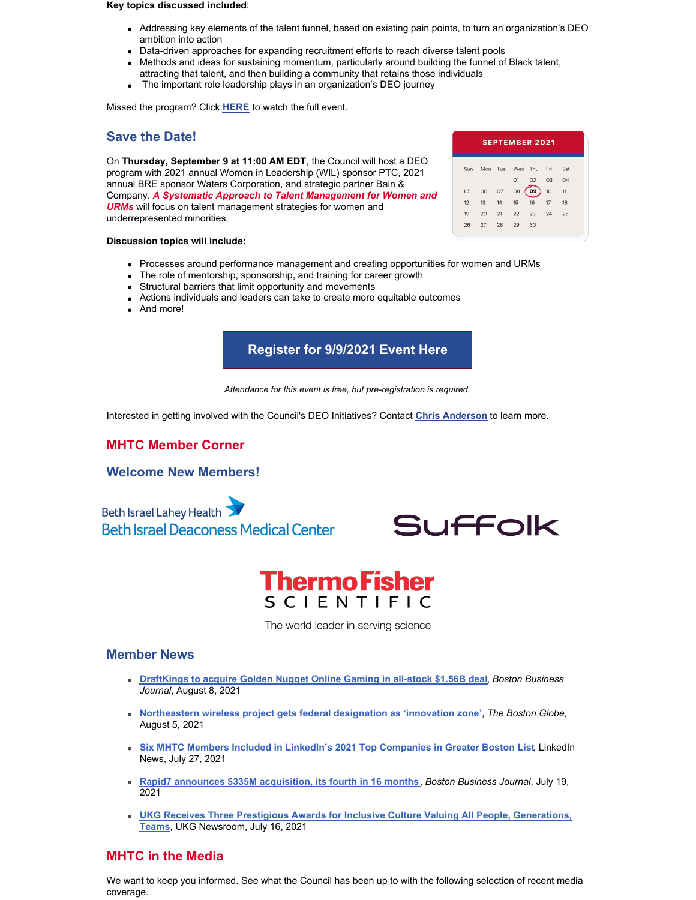#### **Key topics discussed included**:

- Addressing key elements of the talent funnel, based on existing pain points, to turn an organization's DEO ambition into action
- Data-driven approaches for expanding recruitment efforts to reach diverse talent pools
- Methods and ideas for sustaining momentum, particularly around building the funnel of Black talent,
- attracting that talent, and then building a community that retains those individuals
- The important role leadership plays in an organization's DEO journey

Missed the program? Click **[HERE](https://vimeo.com/578551952)** to watch the full event.

#### **Save the Date!**

On **Thursday, September 9 at 11:00 AM EDT**, the Council will host a DEO program with 2021 annual Women in Leadership (WIL) sponsor PTC, 2021 annual BRE sponsor Waters Corporation, and strategic partner Bain & Company. *A Systematic Approach to Talent Management for Women and URMs* will focus on talent management strategies for women and underrepresented minorities.

#### **Discussion topics will include:**

- Processes around performance management and creating opportunities for women and URMs
- The role of mentorship, sponsorship, and training for career growth
- Structural barriers that limit opportunity and movements
- Actions individuals and leaders can take to create more equitable outcomes
- And more!

### **[Register](https://www.eventbrite.com/e/a-systematic-approach-to-talent-management-for-women-and-urms-tickets-166840280771?aff=MHTC) for 9/9/2021 Event Here**

*Attendance for this event is free, but pre-registration is required.*

Interested in getting involved with the Council's DEO Initiatives? Contact **Chris [Anderson](mailto:chris@mhtc.org)** to learn more.

#### **MHTC Member Corner**

#### **Welcome New Members!**

**Beth Israel Lahey Health Beth Israel Deaconess Medical Center** 



# **ThermoFisher** SCIENTIFIC

The world leader in serving science

#### **Member News**

- **[DraftKings](https://www.bizjournals.com/boston/news/2021/08/09/draftkings-to-acquire-golden-nugget-online-gaming.html) to acquire Golden Nugget Online Gaming in all-stock \$1.56B deal**, *Boston Business Journal*, August 8, 2021
- **[Northeastern](https://www.bostonglobe.com/2021/08/05/business/northeastern-wireless-project-gets-federal-designation-innovation-zone/) wireless project gets federal designation as 'innovation zone'**, *The Boston Globe*, August 5, 2021
- **Six MHTC Members Included in LinkedIn's 2021 Top [Companies](https://www.linkedin.com/pulse/top-companies-2021-boston-linkedin-news/) in Greater Boston List**, LinkedIn News, July 27, 2021
- **Rapid7 announces \$335M [acquisition,](https://www.bizjournals.com/boston/news/2021/07/19/rapid7-announces-335m-acquisition-its-fourth-in.html) its fourth in 16 months**, *Boston Business Journal*, July 19, 2021
- **UKG Receives Three Prestigious Awards for Inclusive Culture Valuing All People, [Generations,](https://www.ukg.com/about-us/newsroom/ukg-receives-three-prestigious-awards-inclusive-culture-valuing-all-people) Teams**, UKG Newsroom, July 16, 2021

#### **MHTC in the Media**

We want to keep you informed. See what the Council has been up to with the following selection of recent media coverage.

| <b>SEPTEMBER 2021</b> |    |    |                     |       |    |     |  |
|-----------------------|----|----|---------------------|-------|----|-----|--|
| Sun                   |    |    | Mon Tue Wed Thu Fri |       |    | Sat |  |
|                       |    |    | O1                  | 02 03 |    | 04  |  |
| 05                    | 06 | 07 | O8                  | 09    | 10 | 11  |  |
| 12 <sup>12</sup>      | 13 | 14 | 15                  | 16    | 17 | 18  |  |
| 19                    | 20 | 21 | 22                  | 23    | 24 | 25  |  |
| 26                    | 27 | 28 | 29                  | 30    |    |     |  |
|                       |    |    |                     |       |    |     |  |